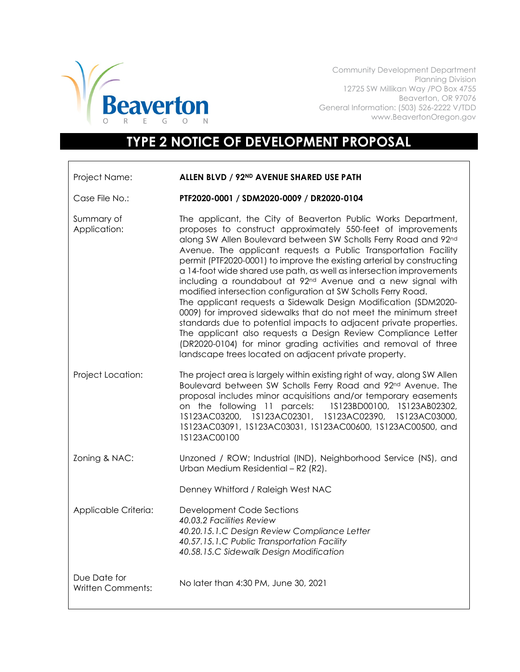

Community Development Department Planning Division 12725 SW Millikan Way /PO Box 4755 Beaverton, OR 97076 General Information: (503) 526-2222 V/TDD www.BeavertonOregon.gov

## **TYPE 2 NOTICE OF DEVELOPMENT PROPOSAL**

| Project Name:                            | ALLEN BLVD / 92ND AVENUE SHARED USE PATH                                                                                                                                                                                                                                                                                                                                                                                                                                                                                                                                                                                                                                                                                                                                                                                                                                                                                                                                    |
|------------------------------------------|-----------------------------------------------------------------------------------------------------------------------------------------------------------------------------------------------------------------------------------------------------------------------------------------------------------------------------------------------------------------------------------------------------------------------------------------------------------------------------------------------------------------------------------------------------------------------------------------------------------------------------------------------------------------------------------------------------------------------------------------------------------------------------------------------------------------------------------------------------------------------------------------------------------------------------------------------------------------------------|
| Case File No.:                           | PTF2020-0001 / SDM2020-0009 / DR2020-0104                                                                                                                                                                                                                                                                                                                                                                                                                                                                                                                                                                                                                                                                                                                                                                                                                                                                                                                                   |
| Summary of<br>Application:               | The applicant, the City of Beaverton Public Works Department,<br>proposes to construct approximately 550-feet of improvements<br>along SW Allen Boulevard between SW Scholls Ferry Road and 92nd<br>Avenue. The applicant requests a Public Transportation Facility<br>permit (PTF2020-0001) to improve the existing arterial by constructing<br>a 14-foot wide shared use path, as well as intersection improvements<br>including a roundabout at 92 <sup>nd</sup> Avenue and a new signal with<br>modified intersection configuration at SW Scholls Ferry Road.<br>The applicant requests a Sidewalk Design Modification (SDM2020-<br>0009) for improved sidewalks that do not meet the minimum street<br>standards due to potential impacts to adjacent private properties.<br>The applicant also requests a Design Review Compliance Letter<br>(DR2020-0104) for minor grading activities and removal of three<br>landscape trees located on adjacent private property. |
| Project Location:                        | The project area is largely within existing right of way, along SW Allen<br>Boulevard between SW Scholls Ferry Road and 92nd Avenue. The<br>proposal includes minor acquisitions and/or temporary easements<br>on the following 11 parcels: 1S123BD00100, 1S123AB02302,<br>1S123AC03200, 1S123AC02301, 1S123AC02390,<br>1S123AC03000,<br>1S123AC03091, 1S123AC03031, 1S123AC00600, 1S123AC00500, and<br>1S123AC00100                                                                                                                                                                                                                                                                                                                                                                                                                                                                                                                                                        |
| Zoning & NAC:                            | Unzoned / ROW; Industrial (IND), Neighborhood Service (NS), and<br>Urban Medium Residential - R2 (R2).                                                                                                                                                                                                                                                                                                                                                                                                                                                                                                                                                                                                                                                                                                                                                                                                                                                                      |
|                                          | Denney Whitford / Raleigh West NAC                                                                                                                                                                                                                                                                                                                                                                                                                                                                                                                                                                                                                                                                                                                                                                                                                                                                                                                                          |
| Applicable Criteria:                     | Development Code Sections<br>40.03.2 Facilities Review<br>40.20.15.1.C Design Review Compliance Letter<br>40.57.15.1.C Public Transportation Facility<br>40.58.15.C Sidewalk Design Modification                                                                                                                                                                                                                                                                                                                                                                                                                                                                                                                                                                                                                                                                                                                                                                            |
| Due Date for<br><b>Written Comments:</b> | No later than 4:30 PM, June 30, 2021                                                                                                                                                                                                                                                                                                                                                                                                                                                                                                                                                                                                                                                                                                                                                                                                                                                                                                                                        |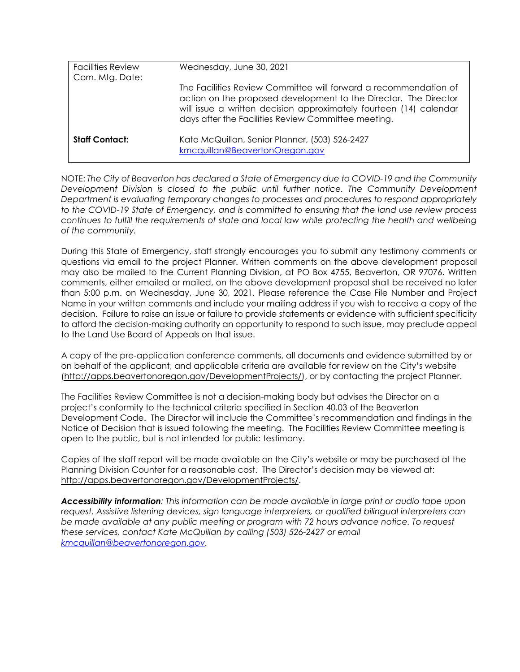| <b>Facilities Review</b><br>Com. Mtg. Date: | Wednesday, June 30, 2021                                                                                                                                                                                                                                          |
|---------------------------------------------|-------------------------------------------------------------------------------------------------------------------------------------------------------------------------------------------------------------------------------------------------------------------|
|                                             | The Facilities Review Committee will forward a recommendation of<br>action on the proposed development to the Director. The Director<br>will issue a written decision approximately fourteen (14) calendar<br>days after the Facilities Review Committee meeting. |
| <b>Staff Contact:</b>                       | Kate McQuillan, Senior Planner, (503) 526-2427<br>kmcquillan@BeavertonOregon.gov                                                                                                                                                                                  |

NOTE: *The City of Beaverton has declared a State of Emergency due to COVID-19 and the Community Development Division is closed to the public until further notice. The Community Development Department is evaluating temporary changes to processes and procedures to respond appropriately to the COVID-19 State of Emergency, and is committed to ensuring that the land use review process continues to fulfill the requirements of state and local law while protecting the health and wellbeing of the community.* 

During this State of Emergency, staff strongly encourages you to submit any testimony comments or questions via email to the project Planner. Written comments on the above development proposal may also be mailed to the Current Planning Division, at PO Box 4755, Beaverton, OR 97076. Written comments, either emailed or mailed, on the above development proposal shall be received no later than 5:00 p.m. on Wednesday, June 30, 2021. Please reference the Case File Number and Project Name in your written comments and include your mailing address if you wish to receive a copy of the decision. Failure to raise an issue or failure to provide statements or evidence with sufficient specificity to afford the decision-making authority an opportunity to respond to such issue, may preclude appeal to the Land Use Board of Appeals on that issue.

A copy of the pre-application conference comments, all documents and evidence submitted by or on behalf of the applicant, and applicable criteria are available for review on the City's website [\(http://apps.beavertonoregon.gov/DevelopmentProjects/\)](http://apps.beavertonoregon.gov/DevelopmentProjects/), or by contacting the project Planner.

The Facilities Review Committee is not a decision-making body but advises the Director on a project's conformity to the technical criteria specified in Section 40.03 of the Beaverton Development Code. The Director will include the Committee's recommendation and findings in the Notice of Decision that is issued following the meeting. The Facilities Review Committee meeting is open to the public, but is not intended for public testimony.

Copies of the staff report will be made available on the City's website or may be purchased at the Planning Division Counter for a reasonable cost. The Director's decision may be viewed at: [http://apps.beavertonoregon.gov/DevelopmentProjects/.](http://apps.beavertonoregon.gov/DevelopmentProjects/)

*Accessibility information: This information can be made available in large print or audio tape upon request. Assistive listening devices, sign language interpreters, or qualified bilingual interpreters can be made available at any public meeting or program with 72 hours advance notice. To request these services, contact Kate McQuillan by calling (503) 526-2427 or email [kmcquillan@beavertonoregon.gov.](mailto:kmcquillan@beavertonoregon.gov)*